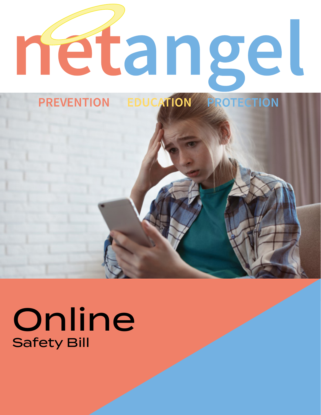

# Safety Bill **Online**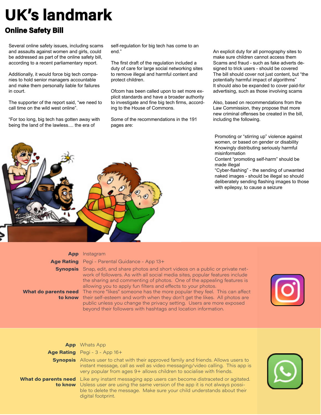## **UK's landmark**

#### **Online Safety Bill**

Several online safety issues, including scams and assaults against women and girls, could be addressed as part of the online safety bill, according to a recent parliamentary report.

Additionally, it would force big tech companies to hold senior managers accountable and make them personally liable for failures in court.

The supporter of the report said, "we need to call time on the wild west online".

"For too long, big tech has gotten away with being the land of the lawless.... the era of



The first draft of the regulation included a duty of care for large social networking sites to remove illegal and harmful content and protect children.

Ofcom has been called upon to set more explicit standards and have a broader authority to investigate and fine big tech firms, according to the House of Commons.

Some of the recommendations in the 191 pages are:

An explicit duty for all pornography sites to make sure children cannot access them Scams and fraud - such as fake adverts designed to trick users - should be covered The bill should cover not just content, but "the potentially harmful impact of algorithms" It should also be expanded to cover paid-for advertising, such as those involving scams

Also, based on recommendations from the Law Commission, they propose that more new criminal offenses be created in the bill, including the following.

Promoting or "stirring up" violence against women, or based on gender or disability Knowingly distributing seriously harmful misinformation

Content "promoting self-harm" should be made illegal

"Cyber-flashing" - the sending of unwanted naked images - should be illegal so should deliberately sending flashing images to those with epilepsy, to cause a seizure



| <b>App</b> Instagram |  |  |
|----------------------|--|--|
|                      |  |  |

**Age Rating** Pegi - Parental Guidance - App 13+

**Synopsis** Snap, edit, and share photos and short videos on a public or private network of followers. As with all social media sites, popular features include the sharing and commenting of photos. One of the appealing features is allowing you to apply fun filters and effects to your photos.

**What do parents need**  The more "likes" someone has the more popular they feel. This can affect **to know** their self-esteem and worth when they don't get the likes. All photos are public unless you change the privacy setting. Users are more exposed beyond their followers with hashtags and location information.



| <b>App</b> Whats App                                                                                                                                                                                                                                                                              |  |
|---------------------------------------------------------------------------------------------------------------------------------------------------------------------------------------------------------------------------------------------------------------------------------------------------|--|
| Age Rating Pegi - 3 - App 16+                                                                                                                                                                                                                                                                     |  |
| <b>Synopsis</b> Allows user to chat with their approved family and friends. Allows users to<br>instant message, call as well as video messaging/video calling. This app is<br>very popular from ages 9+ allows children to socialise with friends.                                                |  |
| <b>What do parents need</b> Like any instant messaging app users can become distraceted or agitated.<br><b>to know</b> Usless user are using the same version of the app it is not always possi-<br>ble to delete the message. Make sure your child understands about their<br>digital footprint. |  |

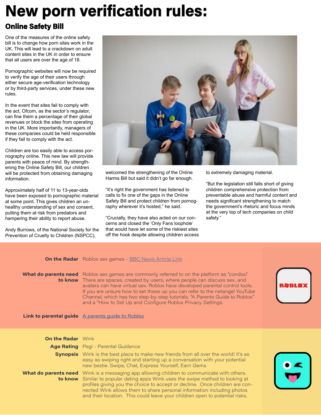### **New porn verification rules:**

#### **Online Safety Bill**

One of the measures of the online safety bill is to change how porn sites work in the UK. This will lead to a crackdown on adult content sites in the UK in order to ensure that all users are over the age of 18.

Pornographic websites will now be required to verify the age of their users through either secure age-verification technology or by third-party services, under these new rules.

In the event that sites fail to comply with the act, Ofcom, as the sector's regulator, can fine them a percentage of their global revenues or block the sites from operating in the UK. More importantly, managers of these companies could be held responsible if they fail to comply with the act.

Children are too easily able to access pornography online. This new law will provide parents with peace of mind. By strengthening the Online Safety Bill, our children will be protected from obtaining damaging information.

Approximately half of 11 to 13-year-olds have been exposed to pornographic material at some point. This gives children an unhealthy understanding of sex and consent, putting them at risk from predators and hampering their ability to report abuse.

Andy Burrows, of the National Society for the Prevention of Cruelty to Children (NSPCC),



welcomed the strengthening of the Online Harms Bill but said it didn't go far enough.

"It's right the government has listened to calls to fix one of the gaps in the Online Safety Bill and protect children from pornography wherever it's hosted," he said.

"Crucially, they have also acted on our concerns and closed the 'Only Fans loophole' that would have let some of the riskiest sites off the hook despite allowing children access to extremely damaging material.

"But the legislation still falls short of giving children comprehensive protection from preventable abuse and harmful content and needs significant strengthening to match the government's rhetoric and focus minds at the very top of tech companies on child safety."

|  | <b>On the Radar</b> Roblox sex games - BBC News Article Link |
|--|--------------------------------------------------------------|
|  |                                                              |

What do parents need Roblox sex games are commonly referred to on the platform as "condos". **to know** There are spaces, created by users, where people can discuss sex, and avatars can have virtual sex. Roblox have developed parental control tools. If you are unsure how to set these up you can refer to the netangel YouTube Channel, which has two step-by-step tutorials. "A Parents Guide to Roblox" and a "How to Set Up and Configure Roblox Privacy Settings.

#### **Link to parental guide** [A parents guide to Roblox](https://youtu.be/32DjNpNDh4c)

| <b>On the Radar</b> Wink |                                                                                                                                                                                                                                                                                                                                                                                                                       |  |
|--------------------------|-----------------------------------------------------------------------------------------------------------------------------------------------------------------------------------------------------------------------------------------------------------------------------------------------------------------------------------------------------------------------------------------------------------------------|--|
|                          | Age Rating Pegi - Parental Guidance                                                                                                                                                                                                                                                                                                                                                                                   |  |
|                          | <b>Synopsis</b> Wink is the best place to make new friends from all over the world! It's as<br>easy as swiping right and starting up a conversation with your potential<br>new bestie. Swipe, Chat, Express Yourself, Earn Gems                                                                                                                                                                                       |  |
|                          | What do parents need Wink is a messaging app allowing children to communicate with others.<br>to know Similar to popular dating apps Wink uses the swipe method to looking at<br>profiles giving you the choice to accept or decline. Once children are con-<br>nected Wink allows them to share personal information including photos<br>and their location. This could leave your children open to potential risks. |  |